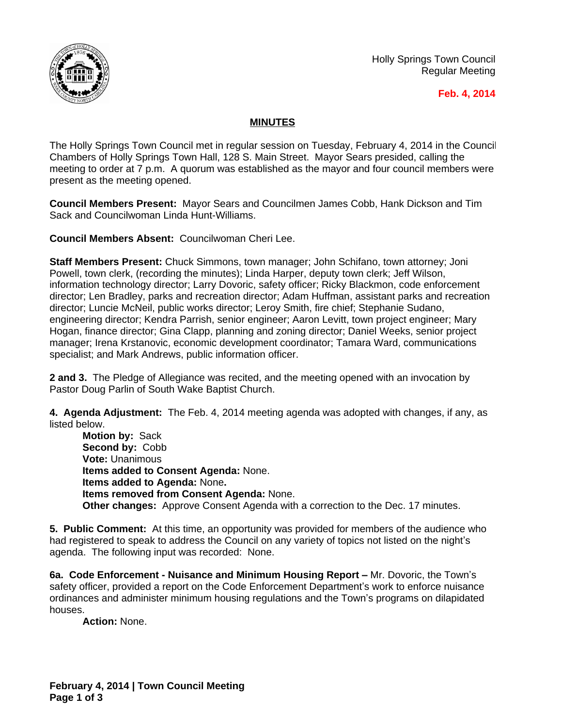

Holly Springs Town Council Regular Meeting

## **Feb. 4, 2014**

## **MINUTES**

The Holly Springs Town Council met in regular session on Tuesday, February 4, 2014 in the Council Chambers of Holly Springs Town Hall, 128 S. Main Street. Mayor Sears presided, calling the meeting to order at 7 p.m. A quorum was established as the mayor and four council members were present as the meeting opened.

**Council Members Present:** Mayor Sears and Councilmen James Cobb, Hank Dickson and Tim Sack and Councilwoman Linda Hunt-Williams.

**Council Members Absent:** Councilwoman Cheri Lee.

**Staff Members Present:** Chuck Simmons, town manager; John Schifano, town attorney; Joni Powell, town clerk, (recording the minutes); Linda Harper, deputy town clerk; Jeff Wilson, information technology director; Larry Dovoric, safety officer; Ricky Blackmon, code enforcement director; Len Bradley, parks and recreation director; Adam Huffman, assistant parks and recreation director; Luncie McNeil, public works director; Leroy Smith, fire chief; Stephanie Sudano, engineering director; Kendra Parrish, senior engineer; Aaron Levitt, town project engineer; Mary Hogan, finance director; Gina Clapp, planning and zoning director; Daniel Weeks, senior project manager; Irena Krstanovic, economic development coordinator; Tamara Ward, communications specialist; and Mark Andrews, public information officer.

**2 and 3.** The Pledge of Allegiance was recited, and the meeting opened with an invocation by Pastor Doug Parlin of South Wake Baptist Church.

**4. Agenda Adjustment:** The Feb. 4, 2014 meeting agenda was adopted with changes, if any, as listed below.

**Motion by:** Sack **Second by:** Cobb **Vote:** Unanimous **Items added to Consent Agenda:** None. **Items added to Agenda:** None**. Items removed from Consent Agenda:** None. **Other changes:** Approve Consent Agenda with a correction to the Dec. 17 minutes.

**5. Public Comment:** At this time, an opportunity was provided for members of the audience who had registered to speak to address the Council on any variety of topics not listed on the night's agenda. The following input was recorded: None.

**6a. Code Enforcement - Nuisance and Minimum Housing Report –** Mr. Dovoric, the Town's safety officer, provided a report on the Code Enforcement Department's work to enforce nuisance ordinances and administer minimum housing regulations and the Town's programs on dilapidated houses.

**Action:** None.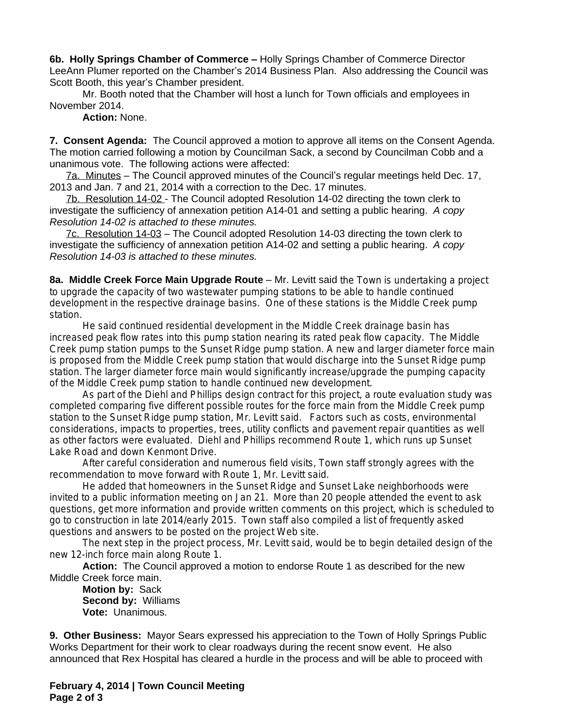**6b. Holly Springs Chamber of Commerce –** Holly Springs Chamber of Commerce Director LeeAnn Plumer reported on the Chamber's 2014 Business Plan. Also addressing the Council was Scott Booth, this year's Chamber president.

Mr. Booth noted that the Chamber will host a lunch for Town officials and employees in November 2014.

**Action:** None.

**7. Consent Agenda:** The Council approved a motion to approve all items on the Consent Agenda. The motion carried following a motion by Councilman Sack, a second by Councilman Cobb and a unanimous vote. The following actions were affected:

7a. Minutes – The Council approved minutes of the Council's regular meetings held Dec. 17, 2013 and Jan. 7 and 21, 2014 with a correction to the Dec. 17 minutes.

7b. Resolution 14-02 - The Council adopted Resolution 14-02 directing the town clerk to investigate the sufficiency of annexation petition A14-01 and setting a public hearing.*A copy Resolution 14-02 is attached to these minutes.*

7c. Resolution 14-03 – The Council adopted Resolution 14-03 directing the town clerk to investigate the sufficiency of annexation petition A14-02 and setting a public hearing. *A copy Resolution 14-03 is attached to these minutes.*

**8a. Middle Creek Force Main Upgrade Route** – Mr. Levitt said the Town is undertaking a project to upgrade the capacity of two wastewater pumping stations to be able to handle continued development in the respective drainage basins. One of these stations is the Middle Creek pump station.

He said continued residential development in the Middle Creek drainage basin has increased peak flow rates into this pump station nearing its rated peak flow capacity. The Middle Creek pump station pumps to the Sunset Ridge pump station. A new and larger diameter force main is proposed from the Middle Creek pump station that would discharge into the Sunset Ridge pump station. The larger diameter force main would significantly increase/upgrade the pumping capacity of the Middle Creek pump station to handle continued new development.

As part of the Diehl and Phillips design contract for this project, a route evaluation study was completed comparing five different possible routes for the force main from the Middle Creek pump station to the Sunset Ridge pump station, Mr. Levitt said. Factors such as costs, environmental considerations, impacts to properties, trees, utility conflicts and pavement repair quantities as well as other factors were evaluated. Diehl and Phillips recommend Route 1, which runs up Sunset Lake Road and down Kenmont Drive.

After careful consideration and numerous field visits, Town staff strongly agrees with the recommendation to move forward with Route 1, Mr. Levitt said.

He added that homeowners in the Sunset Ridge and Sunset Lake neighborhoods were invited to a public information meeting on Jan 21. More than 20 people attended the event to ask questions, get more information and provide written comments on this project, which is scheduled to go to construction in late 2014/early 2015. Town staff also compiled a list of frequently asked questions and answers to be posted on the project Web site.

The next step in the project process, Mr. Levitt said, would be to begin detailed design of the new 12-inch force main along Route 1.

**Action:** The Council approved a motion to endorse Route 1 as described for the new Middle Creek force main.

**Motion by:** Sack **Second by:** Williams **Vote:** Unanimous.

**9. Other Business:** Mayor Sears expressed his appreciation to the Town of Holly Springs Public Works Department for their work to clear roadways during the recent snow event. He also announced that Rex Hospital has cleared a hurdle in the process and will be able to proceed with

**February 4, 2014 | Town Council Meeting Page 2 of 3**